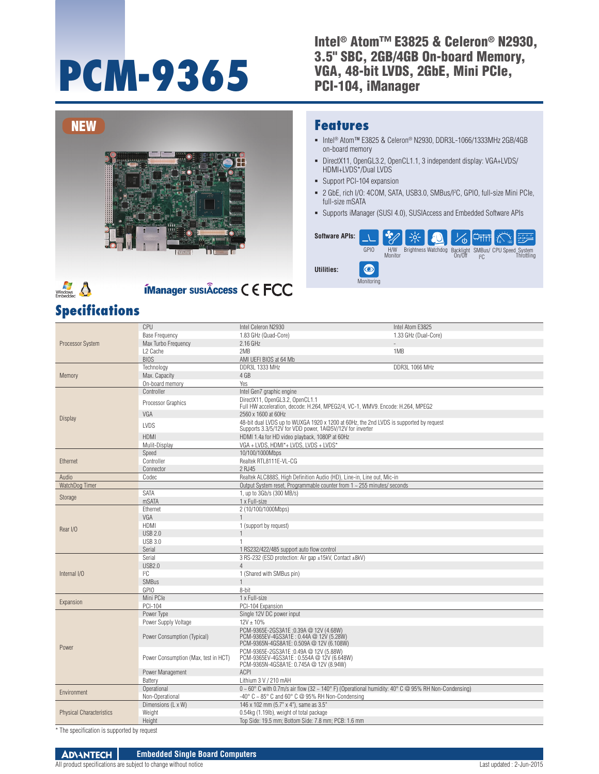# **PCM-9365**

#### Intel<sup>®</sup> Atom™ E3825 & Celeron® N2930, 3.5" SBC, 2GB/4GB On-board Memory, VGA, 48-bit LVDS, 2GbE, Mini PCIe, PCI-104, iManager



# $\frac{1}{\sqrt{\frac{1}{1}}\sqrt{\frac{1}{1}}\sqrt{\frac{1}{1}}\sqrt{\frac{1}{1}}\sqrt{\frac{1}{1}}\sqrt{\frac{1}{1}}\sqrt{\frac{1}{1}}\sqrt{\frac{1}{1}}\sqrt{\frac{1}{1}}\sqrt{\frac{1}{1}}\sqrt{\frac{1}{1}}\sqrt{\frac{1}{1}}\sqrt{\frac{1}{1}}\sqrt{\frac{1}{1}}\sqrt{\frac{1}{1}}\sqrt{\frac{1}{1}}\sqrt{\frac{1}{1}}\sqrt{\frac{1}{1}}\sqrt{\frac{1}{1}}\sqrt{\frac{1}{1}}\sqrt{\frac{1}{1}}\sqrt{\frac{1}{1}}\sqrt{\frac{1}{1}}\sqrt{\frac{1}{1$

# **ÍManager susiÂccess C E FCC**

### **Specifications**

#### **Features**

- Intel® Atom™ E3825 & Celeron® N2930, DDR3L-1066/1333MHz 2GB/4GB on-board memory
- DirectX11, OpenGL3.2, OpenCL1.1, 3 independent display: VGA+LVDS/ HDMI+LVDS\*/Dual LVDS
- **Support PCI-104 expansion**
- 2 GbE, rich I/O: 4COM, SATA, USB3.0, SMBus/I2 C, GPIO, full-size Mini PCIe, full-size mSATA
- Supports iManager (SUSI 4.0), SUSIAccess and Embedded Software APIs



|                                 | CPU                                  | Intel Celeron N2930                                                                                                           | Intel Atom E3825     |  |  |  |  |  |
|---------------------------------|--------------------------------------|-------------------------------------------------------------------------------------------------------------------------------|----------------------|--|--|--|--|--|
| <b>Processor System</b>         | <b>Base Frequency</b>                | 1.83 GHz (Quad-Core)                                                                                                          | 1.33 GHz (Dual-Core) |  |  |  |  |  |
|                                 | Max Turbo Frequency                  | 2.16 GHz                                                                                                                      |                      |  |  |  |  |  |
|                                 | L <sub>2</sub> Cache                 | 2MB                                                                                                                           | 1MB                  |  |  |  |  |  |
|                                 | <b>BIOS</b>                          | AMI UEFI BIOS at 64 Mb                                                                                                        |                      |  |  |  |  |  |
| Memory                          | Technology                           | DDR3L 1333 MHz                                                                                                                | DDR3L 1066 MHz       |  |  |  |  |  |
|                                 | Max. Capacity                        | 4 GB                                                                                                                          |                      |  |  |  |  |  |
|                                 | On-board memory                      | Yes                                                                                                                           |                      |  |  |  |  |  |
|                                 | Controller                           | Intel Gen7 graphic engine                                                                                                     |                      |  |  |  |  |  |
|                                 | Processor Graphics                   | DirectX11, OpenGL3.2, OpenCL1.1<br>Full HW acceleration, decode: H.264, MPEG2/4, VC-1, WMV9. Encode: H.264, MPEG2             |                      |  |  |  |  |  |
|                                 | VGA                                  | 2560 x 1600 at 60Hz                                                                                                           |                      |  |  |  |  |  |
| <b>Display</b>                  |                                      | 48-bit dual LVDS up to WUXGA 1920 x 1200 at 60Hz, the 2nd LVDS is supported by request                                        |                      |  |  |  |  |  |
|                                 | LVDS                                 | Supports 3.3/5/12V for VDD power, 1A@5V/12V for inverter                                                                      |                      |  |  |  |  |  |
|                                 | <b>HDMI</b>                          | HDMI 1.4a for HD video playback, 1080P at 60Hz                                                                                |                      |  |  |  |  |  |
|                                 | Mulit-Display                        | VGA + LVDS, HDMI*+ LVDS, LVDS + LVDS*                                                                                         |                      |  |  |  |  |  |
|                                 | Speed                                | 10/100/1000Mbps                                                                                                               |                      |  |  |  |  |  |
| Ethernet                        | Controller                           | Realtek RTL8111E-VL-CG                                                                                                        |                      |  |  |  |  |  |
|                                 | Connector                            | 2 RJ45                                                                                                                        |                      |  |  |  |  |  |
| Audio                           | Codec                                | Realtek ALC888S, High Definition Audio (HD), Line-in, Line out, Mic-in                                                        |                      |  |  |  |  |  |
| WatchDog Timer                  |                                      | Output System reset, Programmable counter from 1 ~ 255 minutes/ seconds                                                       |                      |  |  |  |  |  |
| Storage                         | <b>SATA</b>                          | 1, up to 3Gb/s (300 MB/s)                                                                                                     |                      |  |  |  |  |  |
|                                 | mSATA                                | 1 x Full-size                                                                                                                 |                      |  |  |  |  |  |
|                                 | Ethernet                             | 2 (10/100/1000Mbps)                                                                                                           |                      |  |  |  |  |  |
|                                 | VGA                                  | $\mathbf{1}$                                                                                                                  |                      |  |  |  |  |  |
| Rear I/O                        | <b>HDMI</b>                          | 1 (support by request)                                                                                                        |                      |  |  |  |  |  |
|                                 | <b>USB 2.0</b>                       |                                                                                                                               |                      |  |  |  |  |  |
|                                 | <b>USB 3.0</b>                       | 1                                                                                                                             |                      |  |  |  |  |  |
|                                 | Serial                               | 1 RS232/422/485 support auto flow control                                                                                     |                      |  |  |  |  |  |
|                                 | Serial                               | 3 RS-232 (ESD protection: Air gap ±15kV, Contact ±8kV)                                                                        |                      |  |  |  |  |  |
|                                 | <b>USB2.0</b>                        | $\overline{4}$                                                                                                                |                      |  |  |  |  |  |
| Internal I/O                    | ${}^{12}C$                           | 1 (Shared with SMBus pin)                                                                                                     |                      |  |  |  |  |  |
|                                 | <b>SMBus</b>                         |                                                                                                                               |                      |  |  |  |  |  |
|                                 | GPIO                                 | 8-bit                                                                                                                         |                      |  |  |  |  |  |
|                                 | Mini PCle                            | 1 x Full-size                                                                                                                 |                      |  |  |  |  |  |
| Expansion                       | PCI-104                              | PCI-104 Expansion                                                                                                             |                      |  |  |  |  |  |
|                                 | Power Type                           | Single 12V DC power input                                                                                                     |                      |  |  |  |  |  |
|                                 | Power Supply Voltage                 | $12V \pm 10\%$                                                                                                                |                      |  |  |  |  |  |
| Power                           | Power Consumption (Typical)          | PCM-9365E-2GS3A1E:0.39A @ 12V (4.68W)<br>PCM-9365EV-4GS3A1E: 0.44A @ 12V (5.28W)<br>PCM-9365N-4GS8A1E: 0.509A @ 12V (6.108W)  |                      |  |  |  |  |  |
|                                 | Power Consumption (Max, test in HCT) | PCM-9365E-2GS3A1E:0.49A @ 12V (5.88W)<br>PCM-9365EV-4GS3A1E: 0.554A @ 12V (6.648W)<br>PCM-9365N-4GS8A1E: 0.745A @ 12V (8.94W) |                      |  |  |  |  |  |
|                                 | Power Management                     | <b>ACPI</b>                                                                                                                   |                      |  |  |  |  |  |
|                                 | Battery                              | Lithium 3 V / 210 mAH                                                                                                         |                      |  |  |  |  |  |
|                                 | Operational                          | $0 \sim 60^{\circ}$ C with 0.7m/s air flow (32 ~ 140° F) (Operational humidity: 40° C @ 95% RH Non-Condensing)                |                      |  |  |  |  |  |
| Environment                     | Non-Operational                      | -40° C ~ 85° C and 60° C @ 95% RH Non-Condensing                                                                              |                      |  |  |  |  |  |
|                                 | Dimensions (L x W)                   | 146 x 102 mm (5.7" x 4"), same as 3.5"                                                                                        |                      |  |  |  |  |  |
| <b>Physical Characteristics</b> | Weight                               | 0.54kg (1.19lb), weight of total package                                                                                      |                      |  |  |  |  |  |
|                                 | Height                               | Top Side: 19.5 mm; Bottom Side: 7.8 mm; PCB: 1.6 mm                                                                           |                      |  |  |  |  |  |
|                                 |                                      |                                                                                                                               |                      |  |  |  |  |  |

The specification is supported by request